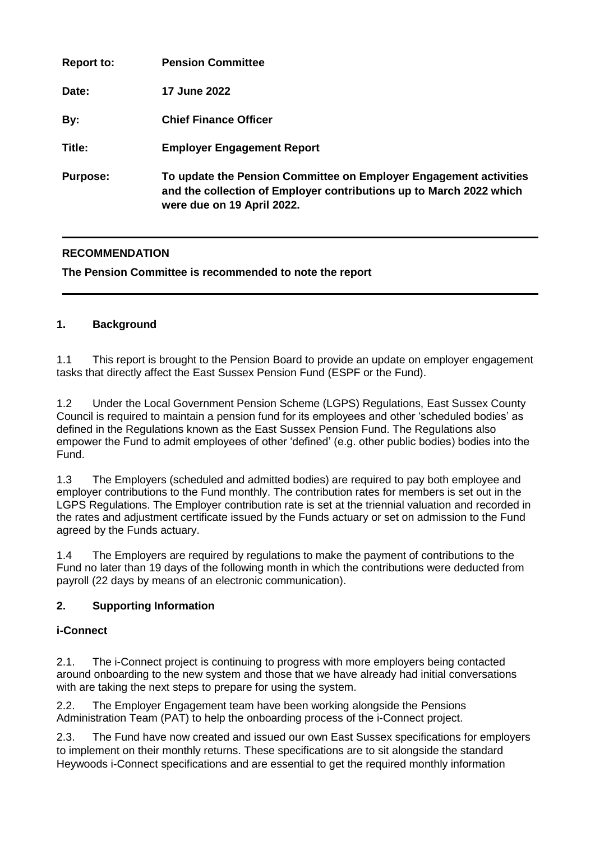| <b>Report to:</b> | <b>Pension Committee</b>                                                                                                                                               |
|-------------------|------------------------------------------------------------------------------------------------------------------------------------------------------------------------|
| Date:             | <b>17 June 2022</b>                                                                                                                                                    |
| By:               | <b>Chief Finance Officer</b>                                                                                                                                           |
| Title:            | <b>Employer Engagement Report</b>                                                                                                                                      |
| <b>Purpose:</b>   | To update the Pension Committee on Employer Engagement activities<br>and the collection of Employer contributions up to March 2022 which<br>were due on 19 April 2022. |

# **RECOMMENDATION**

**The Pension Committee is recommended to note the report** 

#### **1. Background**

1.1 This report is brought to the Pension Board to provide an update on employer engagement tasks that directly affect the East Sussex Pension Fund (ESPF or the Fund).

1.2 Under the Local Government Pension Scheme (LGPS) Regulations, East Sussex County Council is required to maintain a pension fund for its employees and other 'scheduled bodies' as defined in the Regulations known as the East Sussex Pension Fund. The Regulations also empower the Fund to admit employees of other 'defined' (e.g. other public bodies) bodies into the Fund.

1.3 The Employers (scheduled and admitted bodies) are required to pay both employee and employer contributions to the Fund monthly. The contribution rates for members is set out in the LGPS Regulations. The Employer contribution rate is set at the triennial valuation and recorded in the rates and adjustment certificate issued by the Funds actuary or set on admission to the Fund agreed by the Funds actuary.

1.4 The Employers are required by regulations to make the payment of contributions to the Fund no later than 19 days of the following month in which the contributions were deducted from payroll (22 days by means of an electronic communication).

# **2. Supporting Information**

# **i-Connect**

2.1. The i-Connect project is continuing to progress with more employers being contacted around onboarding to the new system and those that we have already had initial conversations with are taking the next steps to prepare for using the system.

2.2. The Employer Engagement team have been working alongside the Pensions Administration Team (PAT) to help the onboarding process of the i-Connect project.

2.3. The Fund have now created and issued our own East Sussex specifications for employers to implement on their monthly returns. These specifications are to sit alongside the standard Heywoods i-Connect specifications and are essential to get the required monthly information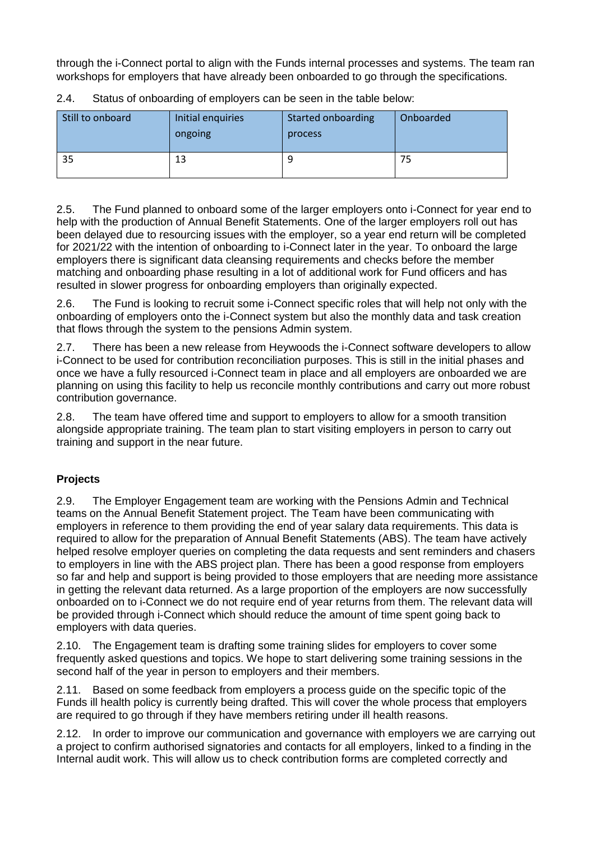through the i-Connect portal to align with the Funds internal processes and systems. The team ran workshops for employers that have already been onboarded to go through the specifications.

| Still to onboard | Initial enquiries<br>ongoing | Started onboarding<br>process | Onboarded |
|------------------|------------------------------|-------------------------------|-----------|
| 35               | 13                           | 9                             | 75        |

2.4. Status of onboarding of employers can be seen in the table below:

2.5. The Fund planned to onboard some of the larger employers onto i-Connect for year end to help with the production of Annual Benefit Statements. One of the larger employers roll out has been delayed due to resourcing issues with the employer, so a year end return will be completed for 2021/22 with the intention of onboarding to i-Connect later in the year. To onboard the large employers there is significant data cleansing requirements and checks before the member matching and onboarding phase resulting in a lot of additional work for Fund officers and has resulted in slower progress for onboarding employers than originally expected.

2.6. The Fund is looking to recruit some i-Connect specific roles that will help not only with the onboarding of employers onto the i-Connect system but also the monthly data and task creation that flows through the system to the pensions Admin system.

2.7. There has been a new release from Heywoods the i-Connect software developers to allow i-Connect to be used for contribution reconciliation purposes. This is still in the initial phases and once we have a fully resourced i-Connect team in place and all employers are onboarded we are planning on using this facility to help us reconcile monthly contributions and carry out more robust contribution governance.

2.8. The team have offered time and support to employers to allow for a smooth transition alongside appropriate training. The team plan to start visiting employers in person to carry out training and support in the near future.

# **Projects**

2.9. The Employer Engagement team are working with the Pensions Admin and Technical teams on the Annual Benefit Statement project. The Team have been communicating with employers in reference to them providing the end of year salary data requirements. This data is required to allow for the preparation of Annual Benefit Statements (ABS). The team have actively helped resolve employer queries on completing the data requests and sent reminders and chasers to employers in line with the ABS project plan. There has been a good response from employers so far and help and support is being provided to those employers that are needing more assistance in getting the relevant data returned. As a large proportion of the employers are now successfully onboarded on to i-Connect we do not require end of year returns from them. The relevant data will be provided through i-Connect which should reduce the amount of time spent going back to employers with data queries.

2.10. The Engagement team is drafting some training slides for employers to cover some frequently asked questions and topics. We hope to start delivering some training sessions in the second half of the year in person to employers and their members.

2.11. Based on some feedback from employers a process guide on the specific topic of the Funds ill health policy is currently being drafted. This will cover the whole process that employers are required to go through if they have members retiring under ill health reasons.

2.12. In order to improve our communication and governance with employers we are carrying out a project to confirm authorised signatories and contacts for all employers, linked to a finding in the Internal audit work. This will allow us to check contribution forms are completed correctly and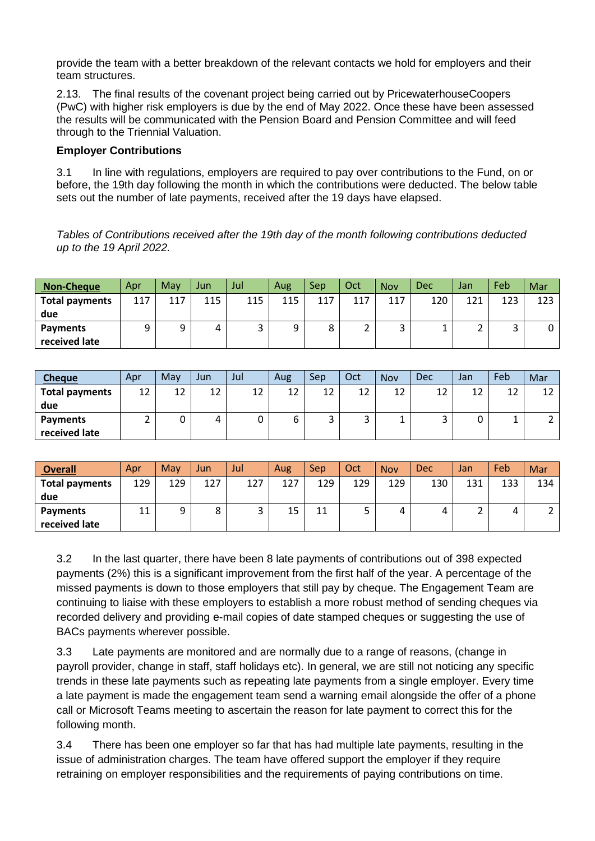provide the team with a better breakdown of the relevant contacts we hold for employers and their team structures.

2.13. The final results of the covenant project being carried out by PricewaterhouseCoopers (PwC) with higher risk employers is due by the end of May 2022. Once these have been assessed the results will be communicated with the Pension Board and Pension Committee and will feed through to the Triennial Valuation.

#### **Employer Contributions**

3.1 In line with regulations, employers are required to pay over contributions to the Fund, on or before, the 19th day following the month in which the contributions were deducted. The below table sets out the number of late payments, received after the 19 days have elapsed.

*Tables of Contributions received after the 19th day of the month following contributions deducted up to the 19 April 2022.*

| <b>Non-Cheque</b>     | Apr | May | Jun. | Jul | Aug | Sep | Oct | <b>Nov</b> | <b>Dec</b> | Jan      | Feb    | Mar |
|-----------------------|-----|-----|------|-----|-----|-----|-----|------------|------------|----------|--------|-----|
| <b>Total payments</b> | 117 | 117 | 115  | 115 | 115 | 117 | 117 | 117        | 120        | 121      | 123    | 123 |
| due                   |     |     |      |     |     |     |     |            |            |          |        |     |
| <b>Payments</b>       | 9   | a   | 4    | ت   | ۵   | 8   |     | ر          |            | <u>.</u> | ∽<br>J | 0   |
| received late         |     |     |      |     |     |     |     |            |            |          |        |     |

| <b>Cheque</b>         | Apr | May | Jun | Jul | Aug | Sep | Oct | <b>Nov</b> | <b>Dec</b> | Jan      | Feb | Mar      |
|-----------------------|-----|-----|-----|-----|-----|-----|-----|------------|------------|----------|-----|----------|
| <b>Total payments</b> | 12  | 12  | 12  | 12  | 12  | 12  | 12  | 12         | 12         | 1つ<br>∸∸ | 12  | 1.<br>∸∸ |
| due                   |     |     |     |     |     |     |     |            |            |          |     |          |
| <b>Payments</b>       |     |     |     | 0   |     |     |     |            | ◡          |          | ᅩ   |          |
| received late         |     |     |     |     |     |     |     |            |            |          |     |          |

| <b>Overall</b>        | Apr | May | Jun    | Jul | Aug     | Sep | Oct | <b>Nov</b> | <b>Dec</b> | Jan | Feb | Mar |
|-----------------------|-----|-----|--------|-----|---------|-----|-----|------------|------------|-----|-----|-----|
| <b>Total payments</b> | 129 | 129 | 127    | 127 | 127     | 129 | 129 | 129        | 130        | 131 | 133 | 134 |
| due                   |     |     |        |     |         |     |     |            |            |     |     |     |
| <b>Payments</b>       | 11  |     | o<br>٥ | ٮ   | 15<br>ᅩ | 11  |     | 4          | 4          |     |     | ∼   |
| received late         |     |     |        |     |         |     |     |            |            |     |     |     |

3.2 In the last quarter, there have been 8 late payments of contributions out of 398 expected payments (2%) this is a significant improvement from the first half of the year. A percentage of the missed payments is down to those employers that still pay by cheque. The Engagement Team are continuing to liaise with these employers to establish a more robust method of sending cheques via recorded delivery and providing e-mail copies of date stamped cheques or suggesting the use of BACs payments wherever possible.

3.3 Late payments are monitored and are normally due to a range of reasons, (change in payroll provider, change in staff, staff holidays etc). In general, we are still not noticing any specific trends in these late payments such as repeating late payments from a single employer. Every time a late payment is made the engagement team send a warning email alongside the offer of a phone call or Microsoft Teams meeting to ascertain the reason for late payment to correct this for the following month.

3.4 There has been one employer so far that has had multiple late payments, resulting in the issue of administration charges. The team have offered support the employer if they require retraining on employer responsibilities and the requirements of paying contributions on time.